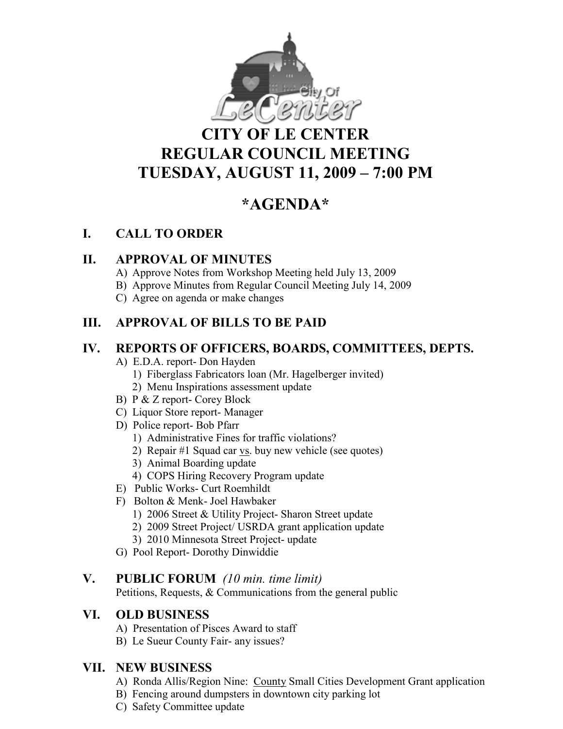

# **CITY OF LE CENTER REGULAR COUNCIL MEETING TUESDAY, AUGUST 11, 2009 – 7:00 PM**

# **\*AGE DA\***

## **I. CALL TO ORDER**

## **II. APPROVAL OF MINUTES**

- A) Approve Notes from Workshop Meeting held July 13, 2009
- B) Approve Minutes from Regular Council Meeting July 14, 2009
- C) Agree on agenda or make changes

## **III. APPROVAL OF BILLS TO BE PAID**

## **IV. REPORTS OF OFFICERS, BOARDS, COMMITTEES, DEPTS.**

- A) E.D.A. report- Don Hayden
	- 1) Fiberglass Fabricators loan (Mr. Hagelberger invited)
	- 2) Menu Inspirations assessment update
- B) P & Z report- Corey Block
- C) Liquor Store report- Manager
- D) Police report- Bob Pfarr
	- 1) Administrative Fines for traffic violations?
	- 2) Repair #1 Squad car vs. buy new vehicle (see quotes)
	- 3) Animal Boarding update
	- 4) COPS Hiring Recovery Program update
- E) Public Works- Curt Roemhildt
- F) Bolton & Menk- Joel Hawbaker
	- 1) 2006 Street & Utility Project- Sharon Street update
	- 2) 2009 Street Project/ USRDA grant application update
	- 3) 2010 Minnesota Street Project- update
- G) Pool Report- Dorothy Dinwiddie

#### **V. PUBLIC FORUM** *(10 min. time limit)*

Petitions, Requests, & Communications from the general public

## **VI. OLD BUSI ESS**

- A) Presentation of Pisces Award to staff
- B) Le Sueur County Fair- any issues?

## **VII. EW BUSI ESS**

- A) Ronda Allis/Region Nine: County Small Cities Development Grant application
- B) Fencing around dumpsters in downtown city parking lot
- C) Safety Committee update